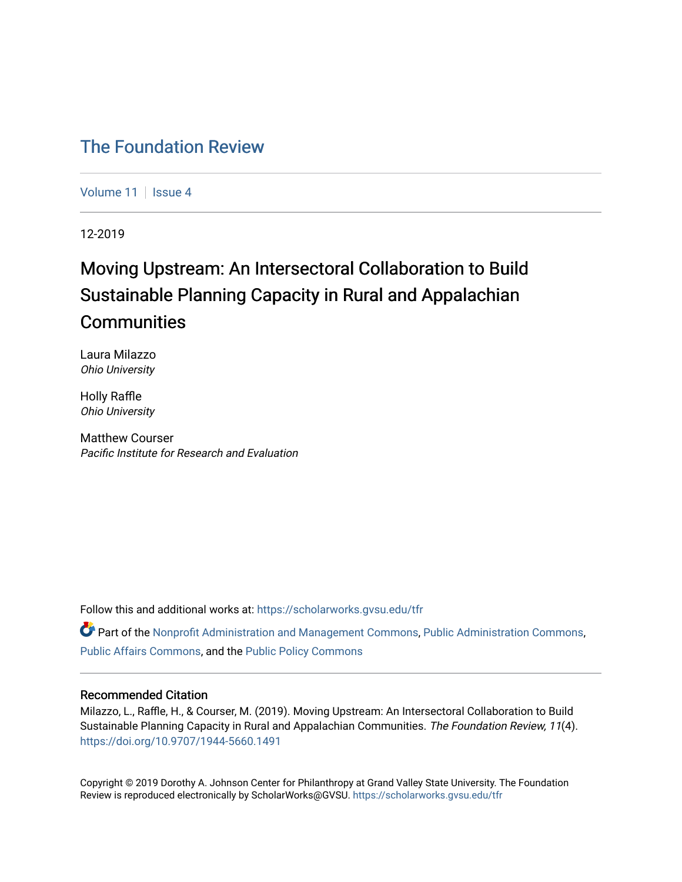# [The Foundation Review](https://scholarworks.gvsu.edu/tfr)

[Volume 11](https://scholarworks.gvsu.edu/tfr/vol11) | [Issue 4](https://scholarworks.gvsu.edu/tfr/vol11/iss4)

12-2019

# Moving Upstream: An Intersectoral Collaboration to Build Sustainable Planning Capacity in Rural and Appalachian **Communities**

Laura Milazzo Ohio University

Holly Raffle Ohio University

Matthew Courser Pacific Institute for Research and Evaluation

Follow this and additional works at: [https://scholarworks.gvsu.edu/tfr](https://scholarworks.gvsu.edu/tfr?utm_source=scholarworks.gvsu.edu%2Ftfr%2Fvol11%2Fiss4%2F6&utm_medium=PDF&utm_campaign=PDFCoverPages)

 $\bullet$  Part of the [Nonprofit Administration and Management Commons,](http://network.bepress.com/hgg/discipline/1228?utm_source=scholarworks.gvsu.edu%2Ftfr%2Fvol11%2Fiss4%2F6&utm_medium=PDF&utm_campaign=PDFCoverPages) [Public Administration Commons](http://network.bepress.com/hgg/discipline/398?utm_source=scholarworks.gvsu.edu%2Ftfr%2Fvol11%2Fiss4%2F6&utm_medium=PDF&utm_campaign=PDFCoverPages), [Public Affairs Commons](http://network.bepress.com/hgg/discipline/399?utm_source=scholarworks.gvsu.edu%2Ftfr%2Fvol11%2Fiss4%2F6&utm_medium=PDF&utm_campaign=PDFCoverPages), and the [Public Policy Commons](http://network.bepress.com/hgg/discipline/400?utm_source=scholarworks.gvsu.edu%2Ftfr%2Fvol11%2Fiss4%2F6&utm_medium=PDF&utm_campaign=PDFCoverPages) 

### Recommended Citation

Milazzo, L., Raffle, H., & Courser, M. (2019). Moving Upstream: An Intersectoral Collaboration to Build Sustainable Planning Capacity in Rural and Appalachian Communities. The Foundation Review, 11(4). <https://doi.org/10.9707/1944-5660.1491>

Copyright © 2019 Dorothy A. Johnson Center for Philanthropy at Grand Valley State University. The Foundation Review is reproduced electronically by ScholarWorks@GVSU.<https://scholarworks.gvsu.edu/tfr>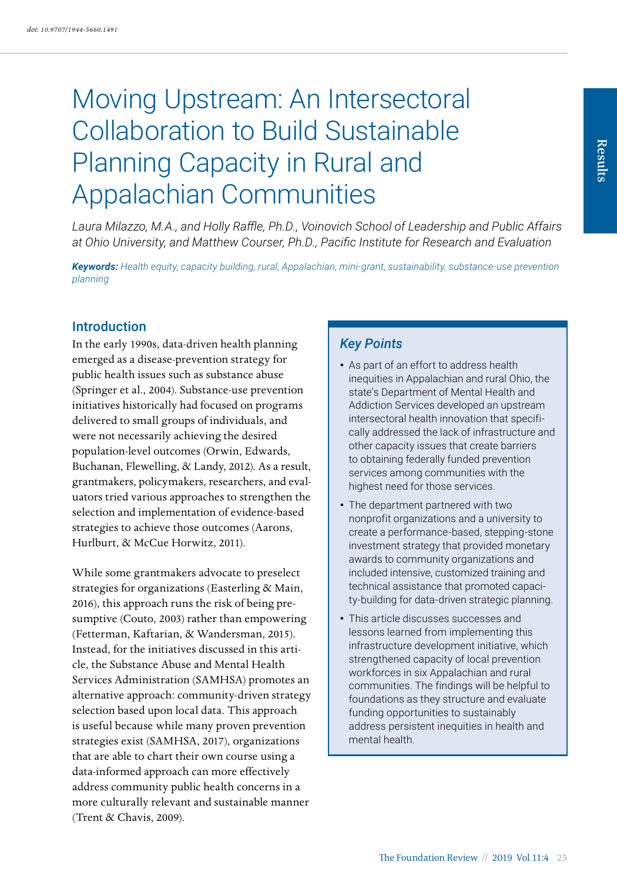# Moving Upstream: An Intersectoral Collaboration to Build Sustainable Planning Capacity in Rural and Appalachian Communities

*Laura Milazzo, M.A., and Holly Raffle, Ph.D., Voinovich School of Leadership and Public Affairs at Ohio University, and Matthew Courser, Ph.D., Pacific Institute for Research and Evaluation*

*Keywords: Health equity, capacity building, rural, Appalachian, mini-grant, sustainability, substance-use prevention planning*

#### Introduction

In the early 1990s, data-driven health planning emerged as a disease-prevention strategy for public health issues such as substance abuse (Springer et al., 2004). Substance-use prevention initiatives historically had focused on programs delivered to small groups of individuals, and were not necessarily achieving the desired population-level outcomes (Orwin, Edwards, Buchanan, Flewelling, & Landy, 2012). As a result, grantmakers, policymakers, researchers, and evaluators tried various approaches to strengthen the selection and implementation of evidence-based strategies to achieve those outcomes (Aarons, Hurlburt, & McCue Horwitz, 2011).

While some grantmakers advocate to preselect strategies for organizations (Easterling & Main, 2016), this approach runs the risk of being presumptive (Couto, 2003) rather than empowering (Fetterman, Kaftarian, & Wandersman, 2015). Instead, for the initiatives discussed in this article, the Substance Abuse and Mental Health Services Administration (SAMHSA) promotes an alternative approach: community-driven strategy selection based upon local data. This approach is useful because while many proven prevention strategies exist (SAMHSA, 2017), organizations that are able to chart their own course using a data-informed approach can more effectively address community public health concerns in a more culturally relevant and sustainable manner (Trent & Chavis, 2009).

# *Key Points*

- As part of an effort to address health inequities in Appalachian and rural Ohio, the state's Department of Mental Health and Addiction Services developed an upstream intersectoral health innovation that specifically addressed the lack of infrastructure and other capacity issues that create barriers to obtaining federally funded prevention services among communities with the highest need for those services.
- The department partnered with two nonprofit organizations and a university to create a performance-based, stepping-stone investment strategy that provided monetary awards to community organizations and included intensive, customized training and technical assistance that promoted capacity-building for data-driven strategic planning.
- This article discusses successes and lessons learned from implementing this infrastructure development initiative, which strengthened capacity of local prevention workforces in six Appalachian and rural communities. The findings will be helpful to foundations as they structure and evaluate funding opportunities to sustainably address persistent inequities in health and mental health.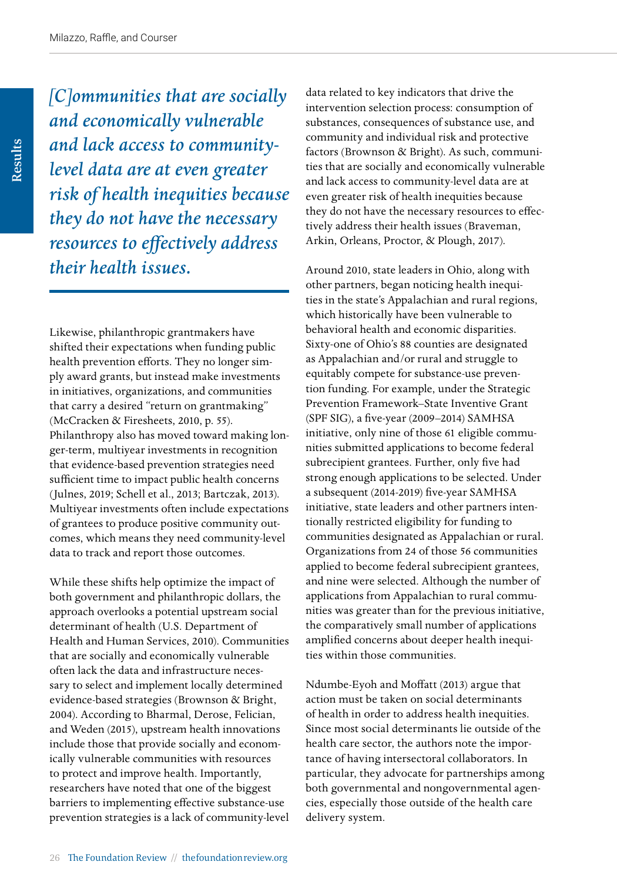Results

*[C]ommunities that are socially and economically vulnerable and lack access to communitylevel data are at even greater risk of health inequities because they do not have the necessary resources to effectively address their health issues.*

Likewise, philanthropic grantmakers have shifted their expectations when funding public health prevention efforts. They no longer simply award grants, but instead make investments in initiatives, organizations, and communities that carry a desired "return on grantmaking" (McCracken & Firesheets, 2010, p. 55). Philanthropy also has moved toward making longer-term, multiyear investments in recognition that evidence-based prevention strategies need sufficient time to impact public health concerns (Julnes, 2019; Schell et al., 2013; Bartczak, 2013). Multiyear investments often include expectations of grantees to produce positive community outcomes, which means they need community-level data to track and report those outcomes.

While these shifts help optimize the impact of both government and philanthropic dollars, the approach overlooks a potential upstream social determinant of health (U.S. Department of Health and Human Services, 2010). Communities that are socially and economically vulnerable often lack the data and infrastructure necessary to select and implement locally determined evidence-based strategies (Brownson & Bright, 2004). According to Bharmal, Derose, Felician, and Weden (2015), upstream health innovations include those that provide socially and economically vulnerable communities with resources to protect and improve health. Importantly, researchers have noted that one of the biggest barriers to implementing effective substance-use prevention strategies is a lack of community-level data related to key indicators that drive the intervention selection process: consumption of substances, consequences of substance use, and community and individual risk and protective factors (Brownson & Bright). As such, communities that are socially and economically vulnerable and lack access to community-level data are at even greater risk of health inequities because they do not have the necessary resources to effectively address their health issues (Braveman, Arkin, Orleans, Proctor, & Plough, 2017).

Around 2010, state leaders in Ohio, along with other partners, began noticing health inequities in the state's Appalachian and rural regions, which historically have been vulnerable to behavioral health and economic disparities. Sixty-one of Ohio's 88 counties are designated as Appalachian and/or rural and struggle to equitably compete for substance-use prevention funding. For example, under the Strategic Prevention Framework–State Inventive Grant (SPF SIG), a five-year (2009–2014) SAMHSA initiative, only nine of those 61 eligible communities submitted applications to become federal subrecipient grantees. Further, only five had strong enough applications to be selected. Under a subsequent (2014-2019) five-year SAMHSA initiative, state leaders and other partners intentionally restricted eligibility for funding to communities designated as Appalachian or rural. Organizations from 24 of those 56 communities applied to become federal subrecipient grantees, and nine were selected. Although the number of applications from Appalachian to rural communities was greater than for the previous initiative, the comparatively small number of applications amplified concerns about deeper health inequities within those communities.

Ndumbe-Eyoh and Moffatt (2013) argue that action must be taken on social determinants of health in order to address health inequities. Since most social determinants lie outside of the health care sector, the authors note the importance of having intersectoral collaborators. In particular, they advocate for partnerships among both governmental and nongovernmental agencies, especially those outside of the health care delivery system.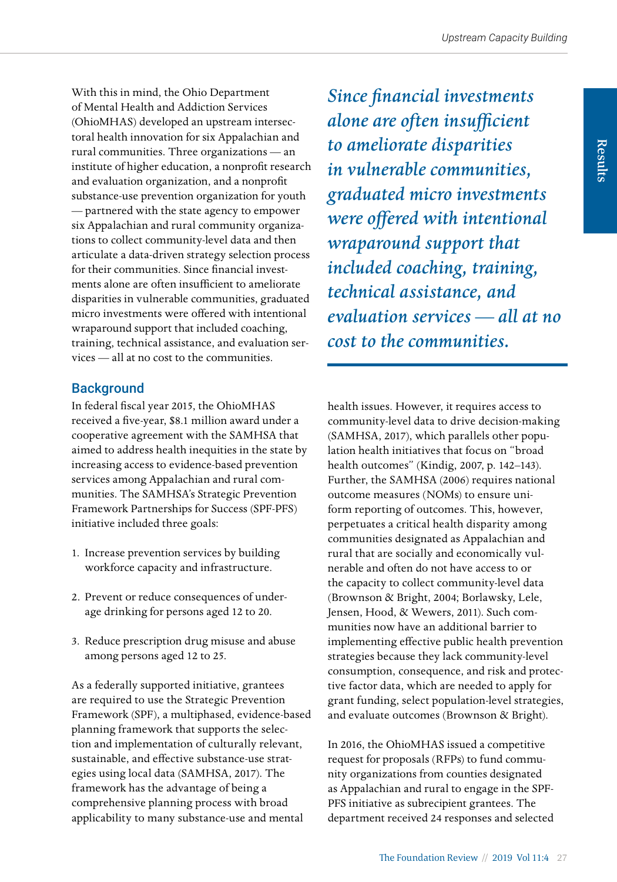With this in mind, the Ohio Department of Mental Health and Addiction Services (OhioMHAS) developed an upstream intersectoral health innovation for six Appalachian and rural communities. Three organizations — an institute of higher education, a nonprofit research and evaluation organization, and a nonprofit substance-use prevention organization for youth — partnered with the state agency to empower six Appalachian and rural community organizations to collect community-level data and then articulate a data-driven strategy selection process for their communities. Since financial investments alone are often insufficient to ameliorate disparities in vulnerable communities, graduated micro investments were offered with intentional wraparound support that included coaching, training, technical assistance, and evaluation services — all at no cost to the communities.

# **Background**

In federal fiscal year 2015, the OhioMHAS received a five-year, \$8.1 million award under a cooperative agreement with the SAMHSA that aimed to address health inequities in the state by increasing access to evidence-based prevention services among Appalachian and rural communities. The SAMHSA's Strategic Prevention Framework Partnerships for Success (SPF-PFS) initiative included three goals:

- 1. Increase prevention services by building workforce capacity and infrastructure.
- 2. Prevent or reduce consequences of underage drinking for persons aged 12 to 20.
- 3. Reduce prescription drug misuse and abuse among persons aged 12 to 25.

As a federally supported initiative, grantees are required to use the Strategic Prevention Framework (SPF), a multiphased, evidence-based planning framework that supports the selection and implementation of culturally relevant, sustainable, and effective substance-use strategies using local data (SAMHSA, 2017). The framework has the advantage of being a comprehensive planning process with broad applicability to many substance-use and mental

*Since financial investments alone are often insufficient to ameliorate disparities in vulnerable communities, graduated micro investments were offered with intentional wraparound support that included coaching, training, technical assistance, and evaluation services — all at no cost to the communities.*

health issues. However, it requires access to community-level data to drive decision-making (SAMHSA, 2017), which parallels other population health initiatives that focus on "broad health outcomes" (Kindig, 2007, p. 142–143). Further, the SAMHSA (2006) requires national outcome measures (NOMs) to ensure uniform reporting of outcomes. This, however, perpetuates a critical health disparity among communities designated as Appalachian and rural that are socially and economically vulnerable and often do not have access to or the capacity to collect community-level data (Brownson & Bright, 2004; Borlawsky, Lele, Jensen, Hood, & Wewers, 2011). Such communities now have an additional barrier to implementing effective public health prevention strategies because they lack community-level consumption, consequence, and risk and protective factor data, which are needed to apply for grant funding, select population-level strategies, and evaluate outcomes (Brownson & Bright).

In 2016, the OhioMHAS issued a competitive request for proposals (RFPs) to fund community organizations from counties designated as Appalachian and rural to engage in the SPF-PFS initiative as subrecipient grantees. The department received 24 responses and selected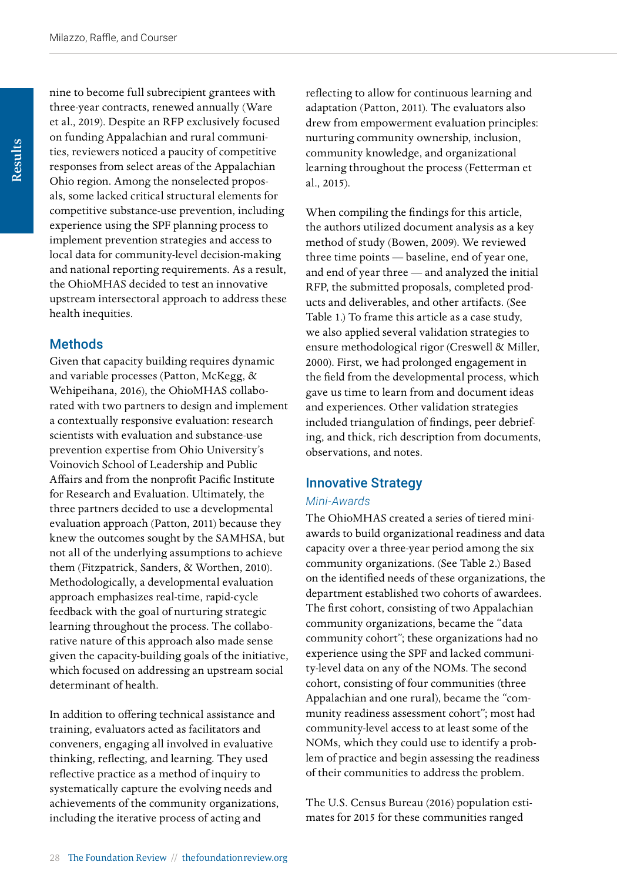nine to become full subrecipient grantees with three-year contracts, renewed annually (Ware et al., 2019). Despite an RFP exclusively focused on funding Appalachian and rural communities, reviewers noticed a paucity of competitive responses from select areas of the Appalachian Ohio region. Among the nonselected proposals, some lacked critical structural elements for competitive substance-use prevention, including experience using the SPF planning process to implement prevention strategies and access to local data for community-level decision-making and national reporting requirements. As a result, the OhioMHAS decided to test an innovative upstream intersectoral approach to address these health inequities.

# **Methods**

Given that capacity building requires dynamic and variable processes (Patton, McKegg, & Wehipeihana, 2016), the OhioMHAS collaborated with two partners to design and implement a contextually responsive evaluation: research scientists with evaluation and substance-use prevention expertise from Ohio University's Voinovich School of Leadership and Public Affairs and from the nonprofit Pacific Institute for Research and Evaluation. Ultimately, the three partners decided to use a developmental evaluation approach (Patton, 2011) because they knew the outcomes sought by the SAMHSA, but not all of the underlying assumptions to achieve them (Fitzpatrick, Sanders, & Worthen, 2010). Methodologically, a developmental evaluation approach emphasizes real-time, rapid-cycle feedback with the goal of nurturing strategic learning throughout the process. The collaborative nature of this approach also made sense given the capacity-building goals of the initiative, which focused on addressing an upstream social determinant of health.

In addition to offering technical assistance and training, evaluators acted as facilitators and conveners, engaging all involved in evaluative thinking, reflecting, and learning. They used reflective practice as a method of inquiry to systematically capture the evolving needs and achievements of the community organizations, including the iterative process of acting and

reflecting to allow for continuous learning and adaptation (Patton, 2011). The evaluators also drew from empowerment evaluation principles: nurturing community ownership, inclusion, community knowledge, and organizational learning throughout the process (Fetterman et al., 2015).

When compiling the findings for this article, the authors utilized document analysis as a key method of study (Bowen, 2009). We reviewed three time points — baseline, end of year one, and end of year three — and analyzed the initial RFP, the submitted proposals, completed products and deliverables, and other artifacts. (See Table 1.) To frame this article as a case study, we also applied several validation strategies to ensure methodological rigor (Creswell & Miller, 2000). First, we had prolonged engagement in the field from the developmental process, which gave us time to learn from and document ideas and experiences. Other validation strategies included triangulation of findings, peer debriefing, and thick, rich description from documents, observations, and notes.

# Innovative Strategy

#### *Mini-Awards*

The OhioMHAS created a series of tiered miniawards to build organizational readiness and data capacity over a three-year period among the six community organizations. (See Table 2.) Based on the identified needs of these organizations, the department established two cohorts of awardees. The first cohort, consisting of two Appalachian community organizations, became the "data community cohort"; these organizations had no experience using the SPF and lacked community-level data on any of the NOMs. The second cohort, consisting of four communities (three Appalachian and one rural), became the "community readiness assessment cohort"; most had community-level access to at least some of the NOMs, which they could use to identify a problem of practice and begin assessing the readiness of their communities to address the problem.

The U.S. Census Bureau (2016) population estimates for 2015 for these communities ranged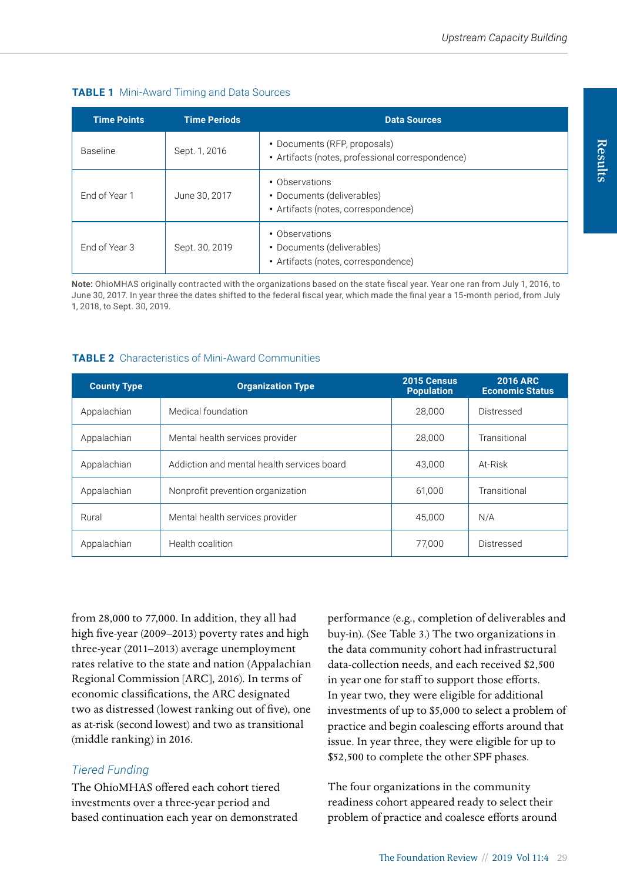#### **TABLE 1** Mini-Award Timing and Data Sources

| <b>Time Points</b> | <b>Time Periods</b> | <b>Data Sources</b>                                                                 |
|--------------------|---------------------|-------------------------------------------------------------------------------------|
| <b>Baseline</b>    | Sept. 1, 2016       | • Documents (RFP, proposals)<br>• Artifacts (notes, professional correspondence)    |
| Fnd of Year 1      | June 30, 2017       | • Observations<br>• Documents (deliverables)<br>• Artifacts (notes, correspondence) |
| Fnd of Year 3      | Sept. 30, 2019      | • Observations<br>• Documents (deliverables)<br>• Artifacts (notes, correspondence) |

**Note:** OhioMHAS originally contracted with the organizations based on the state fiscal year. Year one ran from July 1, 2016, to June 30, 2017. In year three the dates shifted to the federal fiscal year, which made the final year a 15-month period, from July 1, 2018, to Sept. 30, 2019.

#### **TABLE 2** Characteristics of Mini-Award Communities

| <b>County Type</b> | <b>Organization Type</b>                   | 2015 Census<br><b>Population</b> | <b>2016 ARC</b><br><b>Economic Status</b> |
|--------------------|--------------------------------------------|----------------------------------|-------------------------------------------|
| Appalachian        | Medical foundation                         | 28,000                           | Distressed                                |
| Appalachian        | Mental health services provider            | 28.000                           | Transitional                              |
| Appalachian        | Addiction and mental health services board | 43.000                           | At-Risk                                   |
| Appalachian        | Nonprofit prevention organization          | 61.000                           | Transitional                              |
| Rural              | Mental health services provider            | 45.000                           | N/A                                       |
| Appalachian        | Health coalition                           | 77.000                           | Distressed                                |

from 28,000 to 77,000. In addition, they all had high five-year (2009–2013) poverty rates and high three-year (2011–2013) average unemployment rates relative to the state and nation (Appalachian Regional Commission [ARC], 2016). In terms of economic classifications, the ARC designated two as distressed (lowest ranking out of five), one as at-risk (second lowest) and two as transitional (middle ranking) in 2016.

# *Tiered Funding*

The OhioMHAS offered each cohort tiered investments over a three-year period and based continuation each year on demonstrated performance (e.g., completion of deliverables and buy-in). (See Table 3.) The two organizations in the data community cohort had infrastructural data-collection needs, and each received \$2,500 in year one for staff to support those efforts. In year two, they were eligible for additional investments of up to \$5,000 to select a problem of practice and begin coalescing efforts around that issue. In year three, they were eligible for up to \$52,500 to complete the other SPF phases.

The four organizations in the community readiness cohort appeared ready to select their problem of practice and coalesce efforts around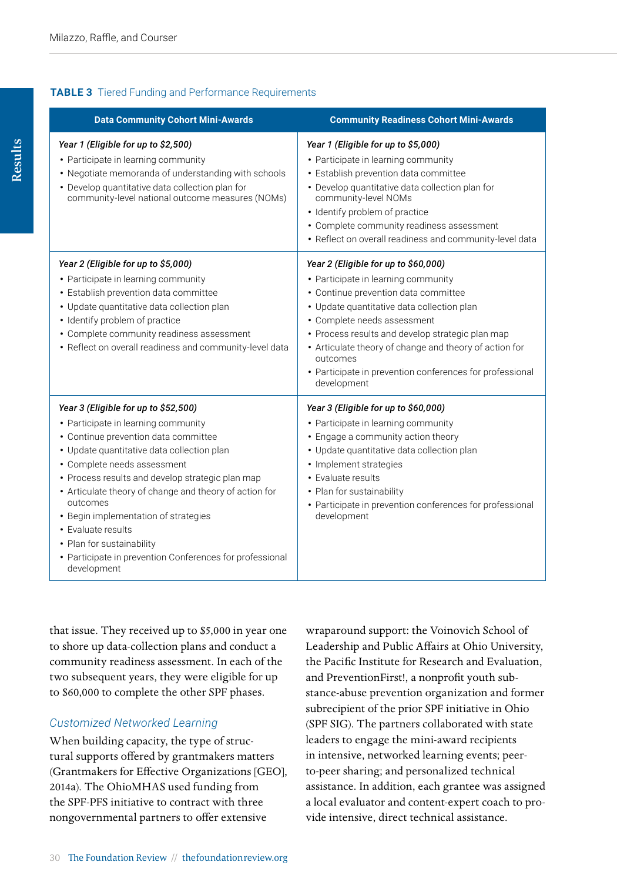#### **TABLE 3** Tiered Funding and Performance Requirements

| <b>Data Community Cohort Mini-Awards</b>                                                                                                                                                                                                                                                                                                                                                                                                                                                         | <b>Community Readiness Cohort Mini-Awards</b>                                                                                                                                                                                                                                                                                                                                                         |
|--------------------------------------------------------------------------------------------------------------------------------------------------------------------------------------------------------------------------------------------------------------------------------------------------------------------------------------------------------------------------------------------------------------------------------------------------------------------------------------------------|-------------------------------------------------------------------------------------------------------------------------------------------------------------------------------------------------------------------------------------------------------------------------------------------------------------------------------------------------------------------------------------------------------|
| Year 1 (Eligible for up to \$2,500)<br>• Participate in learning community<br>• Negotiate memoranda of understanding with schools<br>• Develop quantitative data collection plan for<br>community-level national outcome measures (NOMs)                                                                                                                                                                                                                                                         | Year 1 (Eligible for up to \$5,000)<br>• Participate in learning community<br>· Establish prevention data committee<br>• Develop quantitative data collection plan for<br>community-level NOMs<br>• Identify problem of practice<br>• Complete community readiness assessment<br>• Reflect on overall readiness and community-level data                                                              |
| Year 2 (Eligible for up to \$5,000)<br>• Participate in learning community<br>• Establish prevention data committee<br>• Update quantitative data collection plan<br>• Identify problem of practice<br>• Complete community readiness assessment<br>• Reflect on overall readiness and community-level data                                                                                                                                                                                      | Year 2 (Eligible for up to \$60,000)<br>• Participate in learning community<br>• Continue prevention data committee<br>• Update quantitative data collection plan<br>• Complete needs assessment<br>• Process results and develop strategic plan map<br>• Articulate theory of change and theory of action for<br>outcomes<br>• Participate in prevention conferences for professional<br>development |
| Year 3 (Eligible for up to \$52,500)<br>• Participate in learning community<br>• Continue prevention data committee<br>• Update quantitative data collection plan<br>• Complete needs assessment<br>• Process results and develop strategic plan map<br>• Articulate theory of change and theory of action for<br>outcomes<br>• Begin implementation of strategies<br>• Evaluate results<br>• Plan for sustainability<br>• Participate in prevention Conferences for professional<br>development | Year 3 (Eligible for up to \$60,000)<br>• Participate in learning community<br>• Engage a community action theory<br>• Update quantitative data collection plan<br>• Implement strategies<br>• Evaluate results<br>• Plan for sustainability<br>• Participate in prevention conferences for professional<br>development                                                                               |

that issue. They received up to \$5,000 in year one to shore up data-collection plans and conduct a community readiness assessment. In each of the two subsequent years, they were eligible for up to \$60,000 to complete the other SPF phases.

#### *Customized Networked Learning*

When building capacity, the type of structural supports offered by grantmakers matters (Grantmakers for Effective Organizations [GEO], 2014a). The OhioMHAS used funding from the SPF-PFS initiative to contract with three nongovernmental partners to offer extensive

wraparound support: the Voinovich School of Leadership and Public Affairs at Ohio University, the Pacific Institute for Research and Evaluation, and PreventionFirst!, a nonprofit youth substance-abuse prevention organization and former subrecipient of the prior SPF initiative in Ohio (SPF SIG). The partners collaborated with state leaders to engage the mini-award recipients in intensive, networked learning events; peerto-peer sharing; and personalized technical assistance. In addition, each grantee was assigned a local evaluator and content-expert coach to provide intensive, direct technical assistance.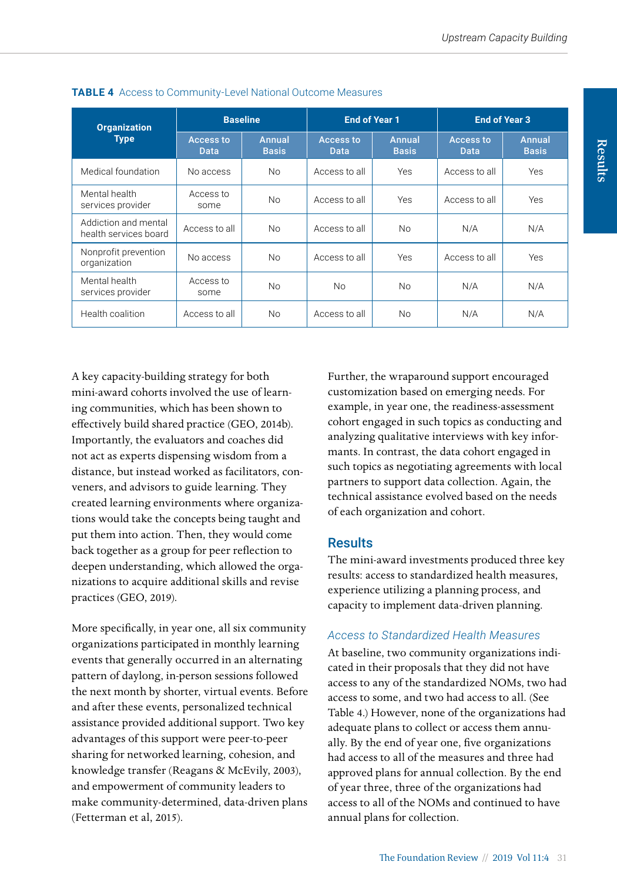| <b>Organization</b><br><b>Type</b>            | <b>Baseline</b>          |                        | <b>End of Year 1</b>     |                               | <b>End of Year 3</b>     |                        |
|-----------------------------------------------|--------------------------|------------------------|--------------------------|-------------------------------|--------------------------|------------------------|
|                                               | <b>Access to</b><br>Data | Annual<br><b>Basis</b> | <b>Access to</b><br>Data | <b>Annual</b><br><b>Basis</b> | <b>Access to</b><br>Data | Annual<br><b>Basis</b> |
| Medical foundation                            | No access                | <b>No</b>              | Access to all            | <b>Yes</b>                    | Access to all            | Yes                    |
| Mental health<br>services provider            | Access to<br>some        | <b>No</b>              | Access to all            | <b>Yes</b>                    | Access to all            | Yes                    |
| Addiction and mental<br>health services board | Access to all            | N <sub>o</sub>         | Access to all            | N <sub>0</sub>                | N/A                      | N/A                    |
| Nonprofit prevention<br>organization          | No access                | <b>No</b>              | Access to all            | Yes                           | Access to all            | Yes                    |
| Mental health<br>services provider            | Access to<br>some        | N <sub>0</sub>         | N <sub>0</sub>           | <b>No</b>                     | N/A                      | N/A                    |
| Health coalition                              | Access to all            | N <sub>0</sub>         | Access to all            | <b>No</b>                     | N/A                      | N/A                    |

#### **TABLE 4** Access to Community-Level National Outcome Measures

A key capacity-building strategy for both mini-award cohorts involved the use of learning communities, which has been shown to effectively build shared practice (GEO, 2014b). Importantly, the evaluators and coaches did not act as experts dispensing wisdom from a distance, but instead worked as facilitators, conveners, and advisors to guide learning. They created learning environments where organizations would take the concepts being taught and put them into action. Then, they would come back together as a group for peer reflection to deepen understanding, which allowed the organizations to acquire additional skills and revise practices (GEO, 2019).

More specifically, in year one, all six community organizations participated in monthly learning events that generally occurred in an alternating pattern of daylong, in-person sessions followed the next month by shorter, virtual events. Before and after these events, personalized technical assistance provided additional support. Two key advantages of this support were peer-to-peer sharing for networked learning, cohesion, and knowledge transfer (Reagans & McEvily, 2003), and empowerment of community leaders to make community-determined, data-driven plans (Fetterman et al, 2015).

Further, the wraparound support encouraged customization based on emerging needs. For example, in year one, the readiness-assessment cohort engaged in such topics as conducting and analyzing qualitative interviews with key informants. In contrast, the data cohort engaged in such topics as negotiating agreements with local partners to support data collection. Again, the technical assistance evolved based on the needs of each organization and cohort.

# **Results**

The mini-award investments produced three key results: access to standardized health measures, experience utilizing a planning process, and capacity to implement data-driven planning.

#### *Access to Standardized Health Measures*

At baseline, two community organizations indicated in their proposals that they did not have access to any of the standardized NOMs, two had access to some, and two had access to all. (See Table 4.) However, none of the organizations had adequate plans to collect or access them annually. By the end of year one, five organizations had access to all of the measures and three had approved plans for annual collection. By the end of year three, three of the organizations had access to all of the NOMs and continued to have annual plans for collection.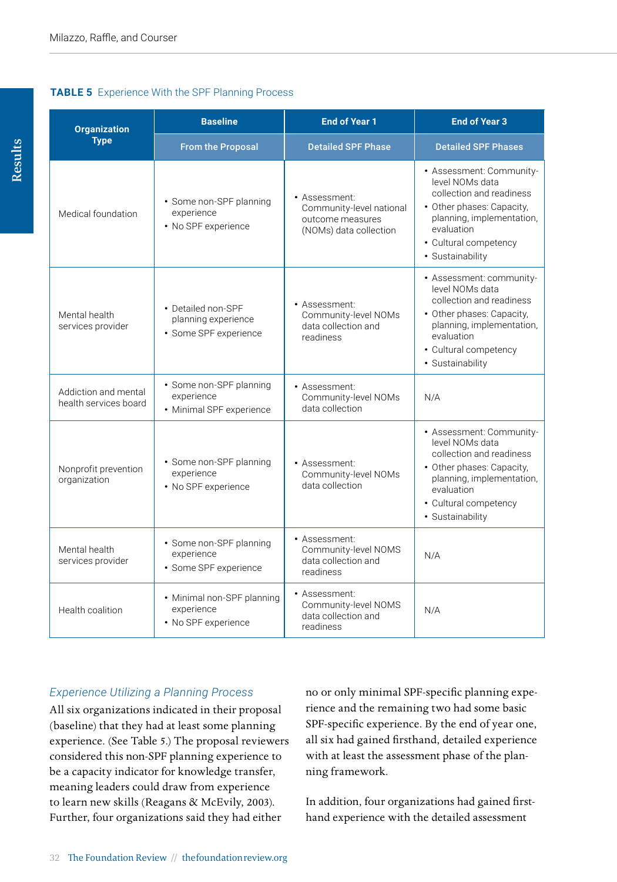#### **TABLE 5** Experience With the SPF Planning Process

| <b>Organization</b>                           | <b>Baseline</b>                                                    | <b>End of Year 1</b>                                                                    | <b>End of Year 3</b>                                                                                                                                                                         |  |
|-----------------------------------------------|--------------------------------------------------------------------|-----------------------------------------------------------------------------------------|----------------------------------------------------------------------------------------------------------------------------------------------------------------------------------------------|--|
| <b>Type</b>                                   | <b>From the Proposal</b>                                           | <b>Detailed SPF Phase</b>                                                               | <b>Detailed SPF Phases</b>                                                                                                                                                                   |  |
| Medical foundation                            | • Some non-SPF planning<br>experience<br>• No SPF experience       | • Assessment:<br>Community-level national<br>outcome measures<br>(NOMs) data collection | • Assessment: Community-<br>level NOMs data<br>collection and readiness<br>• Other phases: Capacity,<br>planning, implementation,<br>evaluation<br>• Cultural competency<br>· Sustainability |  |
| Mental health<br>services provider            | • Detailed non-SPF<br>planning experience<br>• Some SPF experience | • Assessment:<br>Community-level NOMs<br>data collection and<br>readiness               | • Assessment: community-<br>level NOMs data<br>collection and readiness<br>• Other phases: Capacity,<br>planning, implementation,<br>evaluation<br>• Cultural competency<br>· Sustainability |  |
| Addiction and mental<br>health services board | • Some non-SPF planning<br>experience<br>• Minimal SPF experience  | • Assessment:<br>Community-level NOMs<br>data collection                                | N/A                                                                                                                                                                                          |  |
| Nonprofit prevention<br>organization          | • Some non-SPF planning<br>experience<br>• No SPF experience       | • Assessment:<br>Community-level NOMs<br>data collection                                | • Assessment: Community-<br>level NOMs data<br>collection and readiness<br>• Other phases: Capacity,<br>planning, implementation,<br>evaluation<br>• Cultural competency<br>• Sustainability |  |
| Mental health<br>services provider            | • Some non-SPF planning<br>experience<br>· Some SPF experience     | • Assessment:<br>Community-level NOMS<br>data collection and<br>readiness               | N/A                                                                                                                                                                                          |  |
| Health coalition                              | • Minimal non-SPF planning<br>experience<br>• No SPF experience    | • Assessment:<br>Community-level NOMS<br>data collection and<br>readiness               | N/A                                                                                                                                                                                          |  |

# *Experience Utilizing a Planning Process*

All six organizations indicated in their proposal (baseline) that they had at least some planning experience. (See Table 5.) The proposal reviewers considered this non-SPF planning experience to be a capacity indicator for knowledge transfer, meaning leaders could draw from experience to learn new skills (Reagans & McEvily, 2003). Further, four organizations said they had either

no or only minimal SPF-specific planning experience and the remaining two had some basic SPF-specific experience. By the end of year one, all six had gained firsthand, detailed experience with at least the assessment phase of the planning framework.

In addition, four organizations had gained firsthand experience with the detailed assessment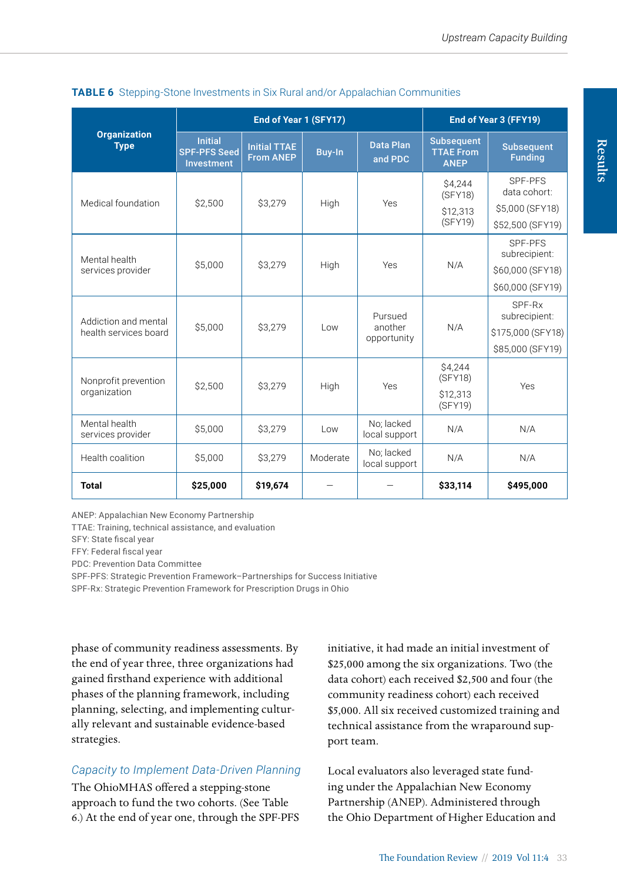|                                               | End of Year 1 (SFY17)                                      |                                         |          |                                   | End of Year 3 (FFY19)                                |                                                                  |
|-----------------------------------------------|------------------------------------------------------------|-----------------------------------------|----------|-----------------------------------|------------------------------------------------------|------------------------------------------------------------------|
| <b>Organization</b><br><b>Type</b>            | <b>Initial</b><br><b>SPF-PFS Seed</b><br><b>Investment</b> | <b>Initial TTAE</b><br><b>From ANEP</b> | Buy-In   | <b>Data Plan</b><br>and PDC       | <b>Subsequent</b><br><b>TTAE From</b><br><b>ANEP</b> | <b>Subsequent</b><br><b>Funding</b>                              |
| Medical foundation                            | \$2,500                                                    | \$3,279                                 | High     | Yes                               | \$4,244<br>(SFY18)<br>\$12,313<br>(SFY19)            | SPF-PFS<br>data cohort:<br>\$5,000 (SFY18)<br>\$52,500 (SFY19)   |
| Mental health<br>services provider            | \$5,000                                                    | \$3,279                                 | High     | Yes                               | N/A                                                  | SPF-PFS<br>subrecipient:<br>\$60,000 (SFY18)<br>\$60,000 (SFY19) |
| Addiction and mental<br>health services board | \$5,000                                                    | \$3,279                                 | Low      | Pursued<br>another<br>opportunity | N/A                                                  | SPF-Rx<br>subrecipient:<br>\$175,000 (SFY18)<br>\$85,000 (SFY19) |
| Nonprofit prevention<br>organization          | \$2.500                                                    | \$3.279                                 | High     | Yes                               | \$4,244<br>(SFY18)<br>\$12.313<br>(SFY19)            | Yes                                                              |
| Mental health<br>services provider            | \$5,000                                                    | \$3,279                                 | Low      | No: lacked<br>local support       | N/A                                                  | N/A                                                              |
| Health coalition                              | \$5,000                                                    | \$3,279                                 | Moderate | No: lacked<br>local support       | N/A                                                  | N/A                                                              |
| <b>Total</b>                                  | \$25,000                                                   | \$19,674                                |          |                                   | \$33,114                                             | \$495,000                                                        |

#### **TABLE 6** Stepping-Stone Investments in Six Rural and/or Appalachian Communities

ANEP: Appalachian New Economy Partnership

TTAE: Training, technical assistance, and evaluation

SFY: State fiscal year

FFY: Federal fiscal year

PDC: Prevention Data Committee

SPF-PFS: Strategic Prevention Framework–Partnerships for Success Initiative

SPF-Rx: Strategic Prevention Framework for Prescription Drugs in Ohio

phase of community readiness assessments. By the end of year three, three organizations had gained firsthand experience with additional phases of the planning framework, including planning, selecting, and implementing culturally relevant and sustainable evidence-based strategies.

#### *Capacity to Implement Data-Driven Planning*

The OhioMHAS offered a stepping-stone approach to fund the two cohorts. (See Table 6.) At the end of year one, through the SPF-PFS initiative, it had made an initial investment of \$25,000 among the six organizations. Two (the data cohort) each received \$2,500 and four (the community readiness cohort) each received \$5,000. All six received customized training and technical assistance from the wraparound support team.

Local evaluators also leveraged state funding under the Appalachian New Economy Partnership (ANEP). Administered through the Ohio Department of Higher Education and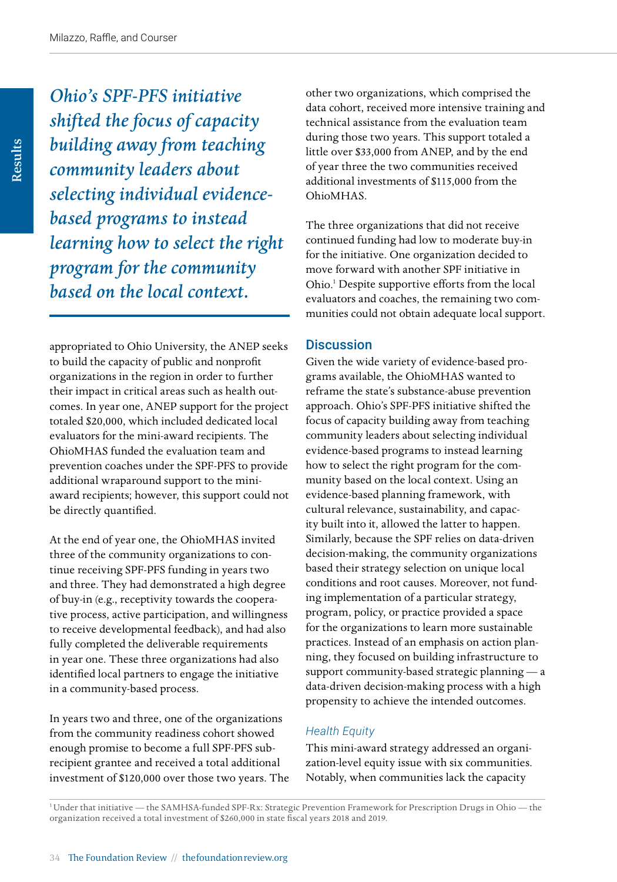*Ohio's SPF-PFS initiative shifted the focus of capacity building away from teaching community leaders about selecting individual evidencebased programs to instead learning how to select the right program for the community based on the local context.* 

appropriated to Ohio University, the ANEP seeks to build the capacity of public and nonprofit organizations in the region in order to further their impact in critical areas such as health outcomes. In year one, ANEP support for the project totaled \$20,000, which included dedicated local evaluators for the mini-award recipients. The OhioMHAS funded the evaluation team and prevention coaches under the SPF-PFS to provide additional wraparound support to the miniaward recipients; however, this support could not be directly quantified.

At the end of year one, the OhioMHAS invited three of the community organizations to continue receiving SPF-PFS funding in years two and three. They had demonstrated a high degree of buy-in (e.g., receptivity towards the cooperative process, active participation, and willingness to receive developmental feedback), and had also fully completed the deliverable requirements in year one. These three organizations had also identified local partners to engage the initiative in a community-based process.

In years two and three, one of the organizations from the community readiness cohort showed enough promise to become a full SPF-PFS subrecipient grantee and received a total additional investment of \$120,000 over those two years. The other two organizations, which comprised the data cohort, received more intensive training and technical assistance from the evaluation team during those two years. This support totaled a little over \$33,000 from ANEP, and by the end of year three the two communities received additional investments of \$115,000 from the OhioMHAS.

The three organizations that did not receive continued funding had low to moderate buy-in for the initiative. One organization decided to move forward with another SPF initiative in Ohio.<sup>1</sup> Despite supportive efforts from the local evaluators and coaches, the remaining two communities could not obtain adequate local support.

#### **Discussion**

Given the wide variety of evidence-based programs available, the OhioMHAS wanted to reframe the state's substance-abuse prevention approach. Ohio's SPF-PFS initiative shifted the focus of capacity building away from teaching community leaders about selecting individual evidence-based programs to instead learning how to select the right program for the community based on the local context. Using an evidence-based planning framework, with cultural relevance, sustainability, and capacity built into it, allowed the latter to happen. Similarly, because the SPF relies on data-driven decision-making, the community organizations based their strategy selection on unique local conditions and root causes. Moreover, not funding implementation of a particular strategy, program, policy, or practice provided a space for the organizations to learn more sustainable practices. Instead of an emphasis on action planning, they focused on building infrastructure to support community-based strategic planning — a data-driven decision-making process with a high propensity to achieve the intended outcomes.

#### *Health Equity*

This mini-award strategy addressed an organization-level equity issue with six communities. Notably, when communities lack the capacity

1 Under that initiative — the SAMHSA-funded SPF-Rx: Strategic Prevention Framework for Prescription Drugs in Ohio — the organization received a total investment of \$260,000 in state fiscal years 2018 and 2019.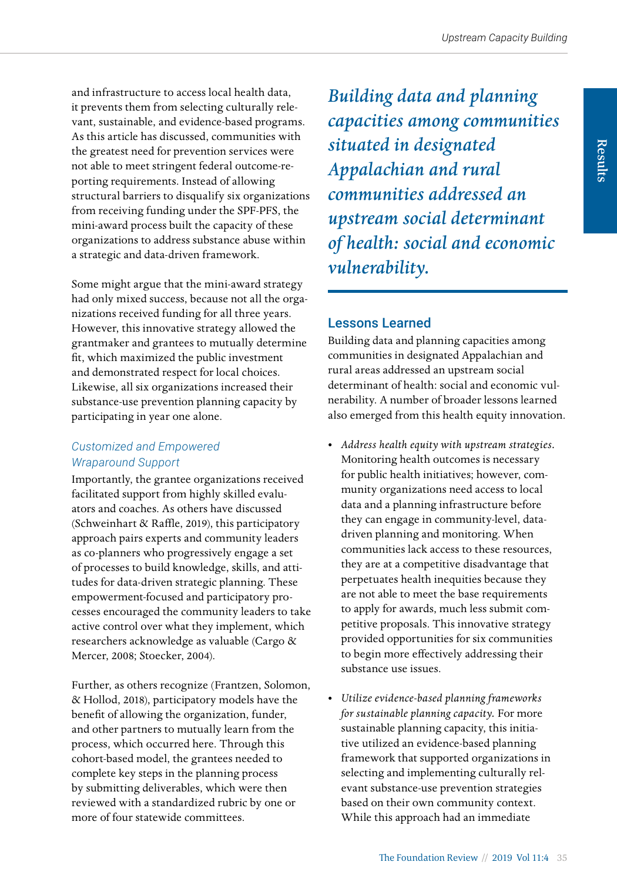and infrastructure to access local health data, it prevents them from selecting culturally relevant, sustainable, and evidence-based programs. As this article has discussed, communities with the greatest need for prevention services were not able to meet stringent federal outcome-reporting requirements. Instead of allowing structural barriers to disqualify six organizations from receiving funding under the SPF-PFS, the mini-award process built the capacity of these organizations to address substance abuse within a strategic and data-driven framework.

Some might argue that the mini-award strategy had only mixed success, because not all the organizations received funding for all three years. However, this innovative strategy allowed the grantmaker and grantees to mutually determine fit, which maximized the public investment and demonstrated respect for local choices. Likewise, all six organizations increased their substance-use prevention planning capacity by participating in year one alone.

### *Customized and Empowered Wraparound Support*

Importantly, the grantee organizations received facilitated support from highly skilled evaluators and coaches. As others have discussed (Schweinhart & Raffle, 2019), this participatory approach pairs experts and community leaders as co-planners who progressively engage a set of processes to build knowledge, skills, and attitudes for data-driven strategic planning. These empowerment-focused and participatory processes encouraged the community leaders to take active control over what they implement, which researchers acknowledge as valuable (Cargo & Mercer, 2008; Stoecker, 2004).

Further, as others recognize (Frantzen, Solomon, & Hollod, 2018), participatory models have the benefit of allowing the organization, funder, and other partners to mutually learn from the process, which occurred here. Through this cohort-based model, the grantees needed to complete key steps in the planning process by submitting deliverables, which were then reviewed with a standardized rubric by one or more of four statewide committees.

*Building data and planning capacities among communities situated in designated Appalachian and rural communities addressed an upstream social determinant of health: social and economic vulnerability.* 

# Lessons Learned

Building data and planning capacities among communities in designated Appalachian and rural areas addressed an upstream social determinant of health: social and economic vulnerability. A number of broader lessons learned also emerged from this health equity innovation.

- *Address health equity with upstream strategies.* Monitoring health outcomes is necessary for public health initiatives; however, community organizations need access to local data and a planning infrastructure before they can engage in community-level, datadriven planning and monitoring. When communities lack access to these resources, they are at a competitive disadvantage that perpetuates health inequities because they are not able to meet the base requirements to apply for awards, much less submit competitive proposals. This innovative strategy provided opportunities for six communities to begin more effectively addressing their substance use issues.
- *Utilize evidence-based planning frameworks for sustainable planning capacity.* For more sustainable planning capacity, this initiative utilized an evidence-based planning framework that supported organizations in selecting and implementing culturally relevant substance-use prevention strategies based on their own community context. While this approach had an immediate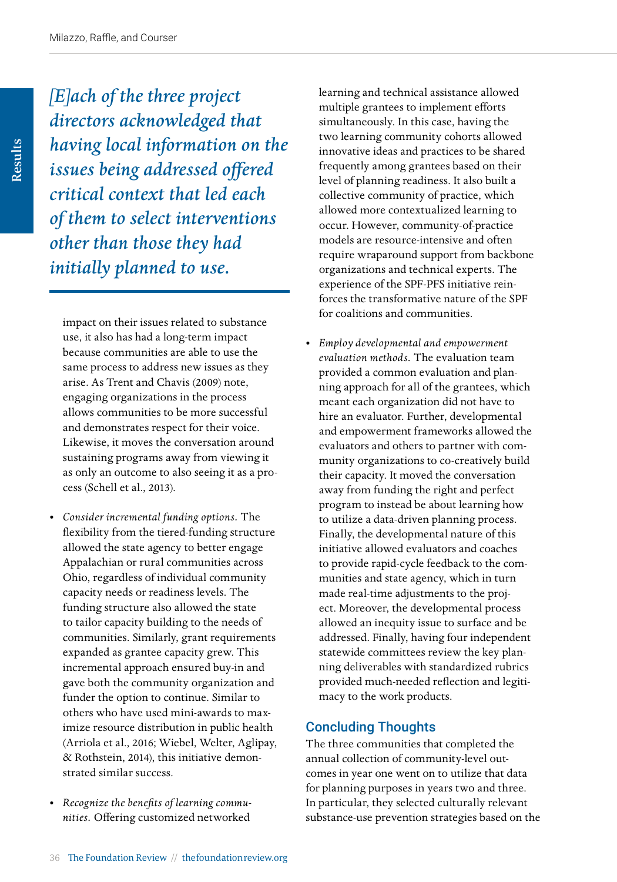*[E]ach of the three project directors acknowledged that having local information on the issues being addressed offered critical context that led each of them to select interventions other than those they had initially planned to use.*

impact on their issues related to substance use, it also has had a long-term impact because communities are able to use the same process to address new issues as they arise. As Trent and Chavis (2009) note, engaging organizations in the process allows communities to be more successful and demonstrates respect for their voice. Likewise, it moves the conversation around sustaining programs away from viewing it as only an outcome to also seeing it as a process (Schell et al., 2013).

- *Consider incremental funding options.* The flexibility from the tiered-funding structure allowed the state agency to better engage Appalachian or rural communities across Ohio, regardless of individual community capacity needs or readiness levels. The funding structure also allowed the state to tailor capacity building to the needs of communities. Similarly, grant requirements expanded as grantee capacity grew. This incremental approach ensured buy-in and gave both the community organization and funder the option to continue. Similar to others who have used mini-awards to maximize resource distribution in public health (Arriola et al., 2016; Wiebel, Welter, Aglipay, & Rothstein, 2014), this initiative demonstrated similar success.
- *Recognize the benefits of learning communities.* Offering customized networked

learning and technical assistance allowed multiple grantees to implement efforts simultaneously. In this case, having the two learning community cohorts allowed innovative ideas and practices to be shared frequently among grantees based on their level of planning readiness. It also built a collective community of practice, which allowed more contextualized learning to occur. However, community-of-practice models are resource-intensive and often require wraparound support from backbone organizations and technical experts. The experience of the SPF-PFS initiative reinforces the transformative nature of the SPF for coalitions and communities.

• *Employ developmental and empowerment evaluation methods.* The evaluation team provided a common evaluation and planning approach for all of the grantees, which meant each organization did not have to hire an evaluator. Further, developmental and empowerment frameworks allowed the evaluators and others to partner with community organizations to co-creatively build their capacity. It moved the conversation away from funding the right and perfect program to instead be about learning how to utilize a data-driven planning process. Finally, the developmental nature of this initiative allowed evaluators and coaches to provide rapid-cycle feedback to the communities and state agency, which in turn made real-time adjustments to the project. Moreover, the developmental process allowed an inequity issue to surface and be addressed. Finally, having four independent statewide committees review the key planning deliverables with standardized rubrics provided much-needed reflection and legitimacy to the work products.

#### Concluding Thoughts

The three communities that completed the annual collection of community-level outcomes in year one went on to utilize that data for planning purposes in years two and three. In particular, they selected culturally relevant substance-use prevention strategies based on the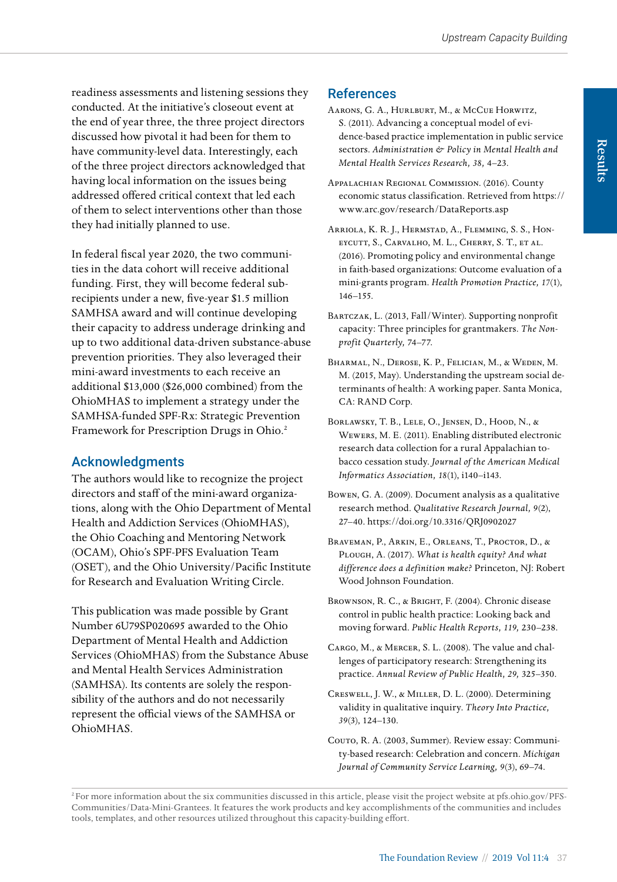readiness assessments and listening sessions they conducted. At the initiative's closeout event at the end of year three, the three project directors discussed how pivotal it had been for them to have community-level data. Interestingly, each of the three project directors acknowledged that having local information on the issues being addressed offered critical context that led each of them to select interventions other than those they had initially planned to use.

In federal fiscal year 2020, the two communities in the data cohort will receive additional funding. First, they will become federal subrecipients under a new, five-year \$1.5 million SAMHSA award and will continue developing their capacity to address underage drinking and up to two additional data-driven substance-abuse prevention priorities. They also leveraged their mini-award investments to each receive an additional \$13,000 (\$26,000 combined) from the OhioMHAS to implement a strategy under the SAMHSA-funded SPF-Rx: Strategic Prevention Framework for Prescription Drugs in Ohio.<sup>2</sup>

# Acknowledgments

The authors would like to recognize the project directors and staff of the mini-award organizations, along with the Ohio Department of Mental Health and Addiction Services (OhioMHAS), the Ohio Coaching and Mentoring Network (OCAM), Ohio's SPF-PFS Evaluation Team (OSET), and the Ohio University/Pacific Institute for Research and Evaluation Writing Circle.

This publication was made possible by Grant Number 6U79SP020695 awarded to the Ohio Department of Mental Health and Addiction Services (OhioMHAS) from the Substance Abuse and Mental Health Services Administration (SAMHSA). Its contents are solely the responsibility of the authors and do not necessarily represent the official views of the SAMHSA or OhioMHAS.

# References

- Aarons, G. A., Hurlburt, M., & McCue Horwitz, S. (2011). Advancing a conceptual model of evidence-based practice implementation in public service sectors. *Administration & Policy in Mental Health and Mental Health Services Research, 38,* 4–23.
- Appalachian Regional Commission. (2016). County economic status classification. Retrieved from [https://](https://www.arc.gov/research/DataReports.asp) [www.arc.gov/research/DataReports.asp](https://www.arc.gov/research/DataReports.asp)
- Arriola, K. R. J., Hermstad, A., Flemming, S. S., Honeycutt, S., Carvalho, M. L., Cherry, S. T., et al. (2016). Promoting policy and environmental change in faith-based organizations: Outcome evaluation of a mini-grants program. *Health Promotion Practice, 17*(1), 146–155.
- Bartczak, L. (2013, Fall/Winter). Supporting nonprofit capacity: Three principles for grantmakers. *The Nonprofit Quarterly,* 74–77.
- Bharmal, N., Derose, K. P., Felician, M., & Weden, M. M. (2015, May). Understanding the upstream social determinants of health: A working paper. Santa Monica, CA: RAND Corp.
- Borlawsky, T. B., Lele, O., Jensen, D., Hood, N., & Wewers, M. E. (2011). Enabling distributed electronic research data collection for a rural Appalachian tobacco cessation study. *Journal of the American Medical Informatics Association, 18*(1), i140–i143.
- Bowen, G. A. (2009). Document analysis as a qualitative research method. *Qualitative Research Journal, 9*(2), 27–40. https://doi.org/10.3316/QRJ0902027
- Braveman, P., Arkin, E., Orleans, T., Proctor, D., & Plough, A. (2017). *What is health equity? And what difference does a definition make?* Princeton, NJ: Robert Wood Johnson Foundation.
- Brownson, R. C., & Bright, F. (2004). Chronic disease control in public health practice: Looking back and moving forward. *Public Health Reports, 119,* 230–238.
- Cargo, M., & Mercer, S. L. (2008). The value and challenges of participatory research: Strengthening its practice. *Annual Review of Public Health, 29,* 325–350.
- Creswell, J. W., & Miller, D. L. (2000). Determining validity in qualitative inquiry. *Theory Into Practice, 39*(3), 124–130.
- Couto, R. A. (2003, Summer). Review essay: Community-based research: Celebration and concern. *Michigan Journal of Community Service Learning, 9*(3), 69–74.

<sup>&</sup>lt;sup>2</sup> For more information about the six communities discussed in this article, please visit the project website at [pfs.ohio.gov/PFS-](http://pfs.ohio.gov/PFS-Communities/Data-Mini-Grantees)[Communities/Data-Mini-Grantees](http://pfs.ohio.gov/PFS-Communities/Data-Mini-Grantees). It features the work products and key accomplishments of the communities and includes tools, templates, and other resources utilized throughout this capacity-building effort.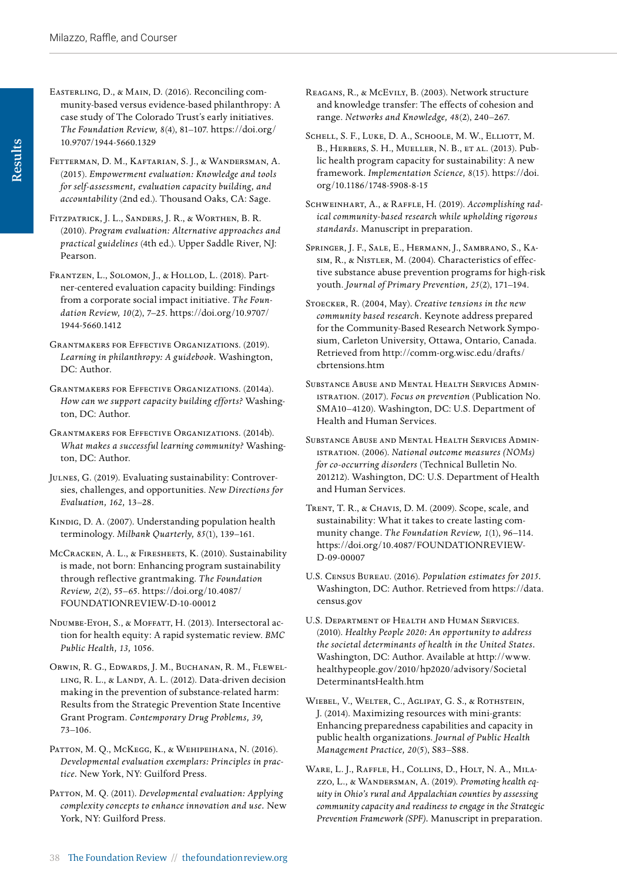- Easterling, D., & Main, D. (2016). Reconciling community-based versus evidence-based philanthropy: A case study of The Colorado Trust's early initiatives. *The Foundation Review, 8*(4), 81–107. [https://doi.org/](https://doi.org/ 10.9707/1944-5660.1329)  [10.9707/1944-5660.1329](https://doi.org/ 10.9707/1944-5660.1329)
- Fetterman, D. M., Kaftarian, S. J., & Wandersman, A. (2015). *Empowerment evaluation: Knowledge and tools for self-assessment, evaluation capacity building, and accountability* (2nd ed.). Thousand Oaks, CA: Sage.
- Fitzpatrick, J. L., Sanders, J. R., & Worthen, B. R. (2010). *Program evaluation: Alternative approaches and practical guidelines* (4th ed.). Upper Saddle River, NJ: Pearson.
- Frantzen, L., Solomon, J., & Hollod, L. (2018). Partner-centered evaluation capacity building: Findings from a corporate social impact initiative. *The Foundation Review, 10*(2), 7–25. [https://doi.org/10.9707/](https://doi.org/10.9707/ 1944-5660.1412)  [1944-5660.1412](https://doi.org/10.9707/ 1944-5660.1412)
- Grantmakers for Effective Organizations. (2019). *Learning in philanthropy: A guidebook.* Washington, DC: Author.
- Grantmakers for Effective Organizations. (2014a). *How can we support capacity building efforts?* Washington, DC: Author.
- Grantmakers for Effective Organizations. (2014b). *What makes a successful learning community?* Washington, DC: Author.
- Julnes, G. (2019). Evaluating sustainability: Controversies, challenges, and opportunities. *New Directions for Evaluation, 162,* 13–28.
- Kindig, D. A. (2007). Understanding population health terminology. *Milbank Quarterly, 85*(1), 139–161.
- McCracken, A. L., & Firesheets, K. (2010). Sustainability is made, not born: Enhancing program sustainability through reflective grantmaking. *The Foundation Review, 2*(2), 55–65. [https://doi.org/10.4087/](https://doi.org/10.4087/FOUNDATIONREVIEW-D-10-00012) [FOUNDATIONREVIEW-D-10-00012](https://doi.org/10.4087/FOUNDATIONREVIEW-D-10-00012)
- NDUMBE-EYOH, S., & MOFFATT, H. (2013). Intersectoral action for health equity: A rapid systematic review. *BMC Public Health, 13,* 1056.
- Orwin, R. G., Edwards, J. M., Buchanan, R. M., Flewelling, R. L., & Landy, A. L. (2012). Data-driven decision making in the prevention of substance-related harm: Results from the Strategic Prevention State Incentive Grant Program. *Contemporary Drug Problems, 39,*  73–106.
- PATTON, M. Q., McKegg, K., & Wehipeihana, N. (2016). *Developmental evaluation exemplars: Principles in practice.* New York, NY: Guilford Press.
- PATTON, M. Q. (2011). *Developmental evaluation: Applying complexity concepts to enhance innovation and use.* New York, NY: Guilford Press.
- Reagans, R., & McEvily, B. (2003). Network structure and knowledge transfer: The effects of cohesion and range. *Networks and Knowledge, 48*(2), 240–267.
- SCHELL, S. F., LUKE, D. A., SCHOOLE, M. W., ELLIOTT, M. B., Herbers, S. H., Mueller, N. B., et al. (2013). Public health program capacity for sustainability: A new framework. *Implementation Science, 8*(15). [https://doi.](https://doi.org/10.1186/1748-5908-8-15
) [org/10.1186/1748-5908-8-15](https://doi.org/10.1186/1748-5908-8-15
)
- Schweinhart, A., & Raffle, H. (2019). *Accomplishing radical community-based research while upholding rigorous standards.* Manuscript in preparation.
- Springer, J. F., Sale, E., Hermann, J., Sambrano, S., Kasim, R., & Nistler, M. (2004). Characteristics of effective substance abuse prevention programs for high-risk youth. *Journal of Primary Prevention, 25*(2), 171–194.
- Stoecker, R. (2004, May). *Creative tensions in the new community based research.* Keynote address prepared for the Community-Based Research Network Symposium, Carleton University, Ottawa, Ontario, Canada. Retrieved from [http://comm-org.wisc.edu/drafts/](http://comm-org.wisc.edu/drafts/cbrtensions.htm) [cbrtensions.htm](http://comm-org.wisc.edu/drafts/cbrtensions.htm)
- Substance Abuse and Mental Health Services Administration. (2017). *Focus on prevention* (Publication No. SMA10–4120). Washington, DC: U.S. Department of Health and Human Services.
- Substance Abuse and Mental Health Services Administration. (2006). *National outcome measures (NOMs) for co-occurring disorders* (Technical Bulletin No. 201212). Washington, DC: U.S. Department of Health and Human Services.
- Trent, T. R., & Chavis, D. M. (2009). Scope, scale, and sustainability: What it takes to create lasting community change. *The Foundation Review, 1*(1), 96–114. [https://doi.org/10.4087/FOUNDATIONREVIEW-](https://doi.org/10.4087/FOUNDATIONREVIEW- D-09-00007)[D-09-00007](https://doi.org/10.4087/FOUNDATIONREVIEW- D-09-00007)
- U.S. Census Bureau. (2016). *Population estimates for 2015.*  Washington, DC: Author. Retrieved from [https://data.](https://data.census.gov) [census.gov](https://data.census.gov)
- U.S. Department of Health and Human Services. (2010). *Healthy People 2020: An opportunity to address the societal determinants of health in the United States.*  Washington, DC: Author. Available at [http://www.](http://www.healthypeople.gov/2010/hp2020/advisory/SocietalDeterminantsHealth.htm) [healthypeople.gov/2010/hp2020/advisory/Societal](http://www.healthypeople.gov/2010/hp2020/advisory/SocietalDeterminantsHealth.htm) [DeterminantsHealth.htm](http://www.healthypeople.gov/2010/hp2020/advisory/SocietalDeterminantsHealth.htm)
- Wiebel, V., Welter, C., Aglipay, G. S., & Rothstein, J. (2014). Maximizing resources with mini-grants: Enhancing preparedness capabilities and capacity in public health organizations. *Journal of Public Health Management Practice, 20*(5), S83–S88.
- Ware, L. J., Raffle, H., Collins, D., Holt, N. A., Milazzo, L., & Wandersman, A. (2019). *Promoting health equity in Ohio's rural and Appalachian counties by assessing community capacity and readiness to engage in the Strategic Prevention Framework (SPF).* Manuscript in preparation.